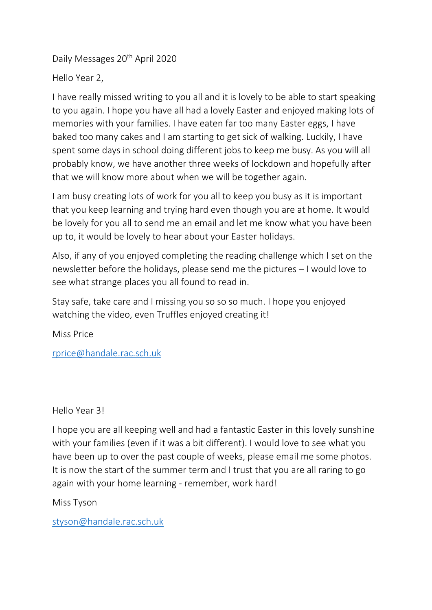Daily Messages 20<sup>th</sup> April 2020

Hello Year 2,

I have really missed writing to you all and it is lovely to be able to start speaking to you again. I hope you have all had a lovely Easter and enjoyed making lots of memories with your families. I have eaten far too many Easter eggs, I have baked too many cakes and I am starting to get sick of walking. Luckily, I have spent some days in school doing different jobs to keep me busy. As you will all probably know, we have another three weeks of lockdown and hopefully after that we will know more about when we will be together again.

I am busy creating lots of work for you all to keep you busy as it is important that you keep learning and trying hard even though you are at home. It would be lovely for you all to send me an email and let me know what you have been up to, it would be lovely to hear about your Easter holidays.

Also, if any of you enjoyed completing the reading challenge which I set on the newsletter before the holidays, please send me the pictures – I would love to see what strange places you all found to read in.

Stay safe, take care and I missing you so so so much. I hope you enjoyed watching the video, even Truffles enjoyed creating it!

Miss Price

[rprice@handale.rac.sch.uk](mailto:rprice@handale.rac.sch.uk)

Hello Year 3!

I hope you are all keeping well and had a fantastic Easter in this lovely sunshine with your families (even if it was a bit different). I would love to see what you have been up to over the past couple of weeks, please email me some photos. It is now the start of the summer term and I trust that you are all raring to go again with your home learning - remember, work hard!

Miss Tyson

[styson@handale.rac.sch.uk](mailto:styson@handale.rac.sch.uk)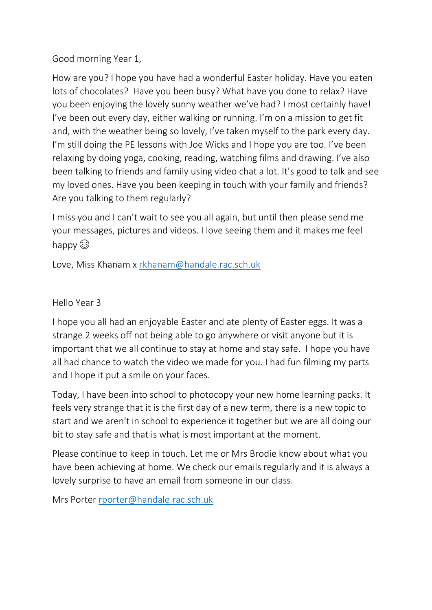Good morning Year 1,

How are you? I hope you have had a wonderful Easter holiday. Have you eaten lots of chocolates? Have you been busy? What have you done to relax? Have you been enjoying the lovely sunny weather we've had? I most certainly have! I've been out every day, either walking or running. I'm on a mission to get fit and, with the weather being so lovely, I've taken myself to the park every day. I'm still doing the PE lessons with Joe Wicks and I hope you are too. I've been relaxing by doing yoga, cooking, reading, watching films and drawing. I've also been talking to friends and family using video chat a lot. It's good to talk and see my loved ones. Have you been keeping in touch with your family and friends? Are you talking to them regularly?

I miss you and I can't wait to see you all again, but until then please send me your messages, pictures and videos. I love seeing them and it makes me feel happy  $\odot$ 

Love, Miss Khanam x [rkhanam@handale.rac.sch.uk](mailto:rkhanam@handale.rac.sch.uk)

## Hello Year 3

I hope you all had an enjoyable Easter and ate plenty of Easter eggs. It was a strange 2 weeks off not being able to go anywhere or visit anyone but it is important that we all continue to stay at home and stay safe. I hope you have all had chance to watch the video we made for you. I had fun filming my parts and I hope it put a smile on your faces.

Today, I have been into school to photocopy your new home learning packs. It feels very strange that it is the first day of a new term, there is a new topic to start and we aren't in school to experience it together but we are all doing our bit to stay safe and that is what is most important at the moment.

Please continue to keep in touch. Let me or Mrs Brodie know about what you have been achieving at home. We check our emails regularly and it is always a lovely surprise to have an email from someone in our class.

Mrs Porter [rporter@handale.rac.sch.uk](mailto:rporter@handale.rac.sch.uk)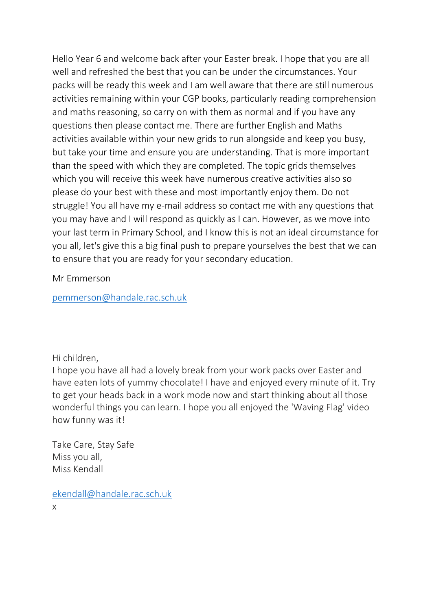Hello Year 6 and welcome back after your Easter break. I hope that you are all well and refreshed the best that you can be under the circumstances. Your packs will be ready this week and I am well aware that there are still numerous activities remaining within your CGP books, particularly reading comprehension and maths reasoning, so carry on with them as normal and if you have any questions then please contact me. There are further English and Maths activities available within your new grids to run alongside and keep you busy, but take your time and ensure you are understanding. That is more important than the speed with which they are completed. The topic grids themselves which you will receive this week have numerous creative activities also so please do your best with these and most importantly enjoy them. Do not struggle! You all have my e-mail address so contact me with any questions that you may have and I will respond as quickly as I can. However, as we move into your last term in Primary School, and I know this is not an ideal circumstance for you all, let's give this a big final push to prepare yourselves the best that we can to ensure that you are ready for your secondary education.

Mr Emmerson

[pemmerson@handale.rac.sch.uk](mailto:pemmerson@handale.rac.sch.uk)

Hi children,

I hope you have all had a lovely break from your work packs over Easter and have eaten lots of yummy chocolate! I have and enjoyed every minute of it. Try to get your heads back in a work mode now and start thinking about all those wonderful things you can learn. I hope you all enjoyed the 'Waving Flag' video how funny was it!

Take Care, Stay Safe Miss you all, Miss Kendall

[ekendall@handale.rac.sch.uk](mailto:ekendall@handale.rac.sch.uk) x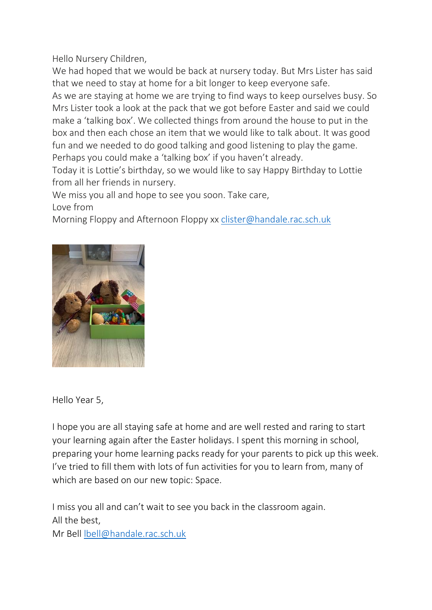Hello Nursery Children,

We had hoped that we would be back at nursery today. But Mrs Lister has said that we need to stay at home for a bit longer to keep everyone safe.

As we are staying at home we are trying to find ways to keep ourselves busy. So Mrs Lister took a look at the pack that we got before Easter and said we could make a 'talking box'. We collected things from around the house to put in the box and then each chose an item that we would like to talk about. It was good fun and we needed to do good talking and good listening to play the game. Perhaps you could make a 'talking box' if you haven't already.

Today it is Lottie's birthday, so we would like to say Happy Birthday to Lottie from all her friends in nursery.

We miss you all and hope to see you soon. Take care, Love from

Morning Floppy and Afternoon Floppy xx [clister@handale.rac.sch.uk](mailto:clister@handale.rac.sch.uk)



Hello Year 5,

I hope you are all staying safe at home and are well rested and raring to start your learning again after the Easter holidays. I spent this morning in school, preparing your home learning packs ready for your parents to pick up this week. I've tried to fill them with lots of fun activities for you to learn from, many of which are based on our new topic: Space.

I miss you all and can't wait to see you back in the classroom again. All the best, Mr Bell [lbell@handale.rac.sch.uk](mailto:lbell@handale.rac.sch.uk)